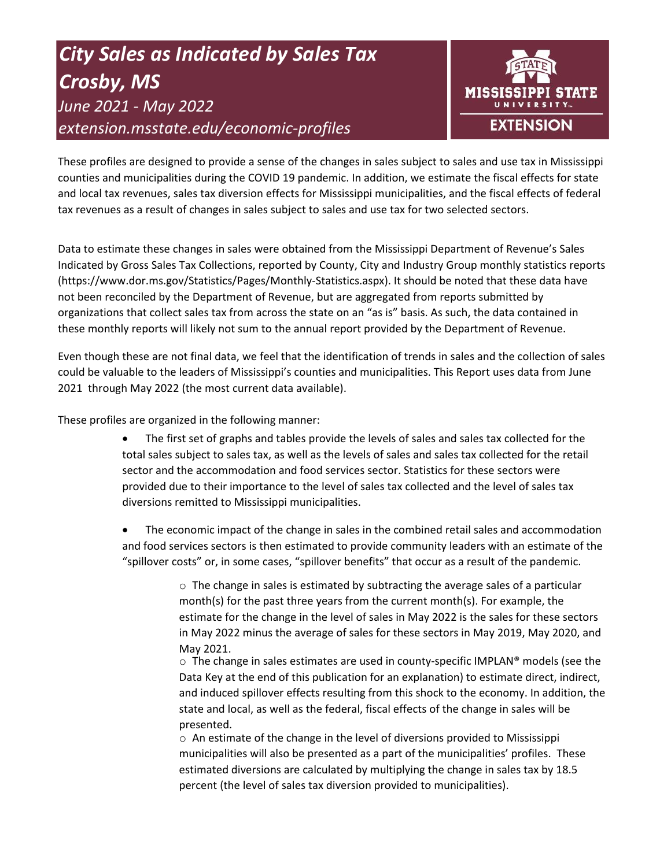# *City Sales as Indicated by Sales Tax Crosby, MS June 2021 - May 2022 extension.msstate.edu/economic-profiles*



These profiles are designed to provide a sense of the changes in sales subject to sales and use tax in Mississippi counties and municipalities during the COVID 19 pandemic. In addition, we estimate the fiscal effects for state and local tax revenues, sales tax diversion effects for Mississippi municipalities, and the fiscal effects of federal tax revenues as a result of changes in sales subject to sales and use tax for two selected sectors.

Data to estimate these changes in sales were obtained from the Mississippi Department of Revenue's Sales Indicated by Gross Sales Tax Collections, reported by County, City and Industry Group monthly statistics reports (https://www.dor.ms.gov/Statistics/Pages/Monthly-Statistics.aspx). It should be noted that these data have not been reconciled by the Department of Revenue, but are aggregated from reports submitted by organizations that collect sales tax from across the state on an "as is" basis. As such, the data contained in these monthly reports will likely not sum to the annual report provided by the Department of Revenue.

Even though these are not final data, we feel that the identification of trends in sales and the collection of sales could be valuable to the leaders of Mississippi's counties and municipalities. This Report uses data from June 2021 through May 2022 (the most current data available).

These profiles are organized in the following manner:

- The first set of graphs and tables provide the levels of sales and sales tax collected for the total sales subject to sales tax, as well as the levels of sales and sales tax collected for the retail sector and the accommodation and food services sector. Statistics for these sectors were provided due to their importance to the level of sales tax collected and the level of sales tax diversions remitted to Mississippi municipalities.
- The economic impact of the change in sales in the combined retail sales and accommodation and food services sectors is then estimated to provide community leaders with an estimate of the "spillover costs" or, in some cases, "spillover benefits" that occur as a result of the pandemic.

 $\circ$  The change in sales is estimated by subtracting the average sales of a particular month(s) for the past three years from the current month(s). For example, the estimate for the change in the level of sales in May 2022 is the sales for these sectors in May 2022 minus the average of sales for these sectors in May 2019, May 2020, and May 2021.

 $\circ$  The change in sales estimates are used in county-specific IMPLAN® models (see the Data Key at the end of this publication for an explanation) to estimate direct, indirect, and induced spillover effects resulting from this shock to the economy. In addition, the state and local, as well as the federal, fiscal effects of the change in sales will be presented.

 $\circ$  An estimate of the change in the level of diversions provided to Mississippi municipalities will also be presented as a part of the municipalities' profiles. These estimated diversions are calculated by multiplying the change in sales tax by 18.5 percent (the level of sales tax diversion provided to municipalities).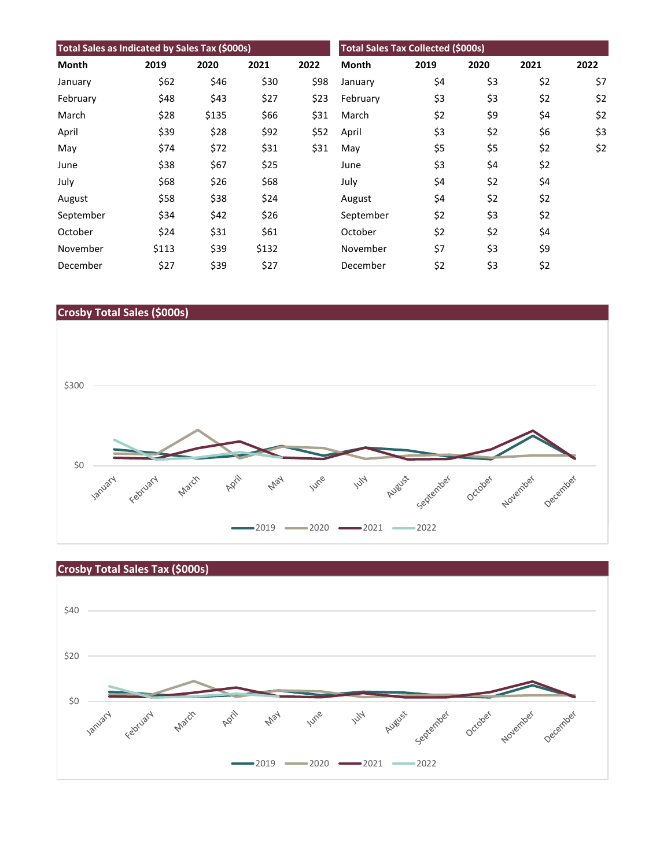| Total Sales as Indicated by Sales Tax (\$000s) |       |       |       |      | <b>Total Sales Tax Collected (\$000s)</b> |      |      |      |      |
|------------------------------------------------|-------|-------|-------|------|-------------------------------------------|------|------|------|------|
| Month                                          | 2019  | 2020  | 2021  | 2022 | <b>Month</b>                              | 2019 | 2020 | 2021 | 2022 |
| January                                        | \$62  | \$46  | \$30  | \$98 | January                                   | \$4  | \$3  | \$2  | \$7  |
| February                                       | \$48  | \$43  | \$27  | \$23 | February                                  | \$3  | \$3  | \$2  | \$2  |
| March                                          | \$28  | \$135 | \$66  | \$31 | March                                     | \$2  | \$9  | \$4  | \$2  |
| April                                          | \$39  | \$28  | \$92  | \$52 | April                                     | \$3  | \$2  | \$6  | \$3  |
| May                                            | \$74  | \$72  | \$31  | \$31 | May                                       | \$5  | \$5  | \$2  | \$2  |
| June                                           | \$38  | \$67  | \$25  |      | June                                      | \$3  | \$4  | \$2  |      |
| July                                           | \$68  | \$26  | \$68  |      | July                                      | \$4  | \$2  | \$4  |      |
| August                                         | \$58  | \$38  | \$24  |      | August                                    | \$4  | \$2  | \$2  |      |
| September                                      | \$34  | \$42  | \$26  |      | September                                 | \$2  | \$3  | \$2  |      |
| October                                        | \$24  | \$31  | \$61  |      | October                                   | \$2  | \$2  | \$4  |      |
| November                                       | \$113 | \$39  | \$132 |      | November                                  | \$7  | \$3  | \$9  |      |
| December                                       | \$27  | \$39  | \$27  |      | December                                  | \$2  | \$3  | \$2  |      |





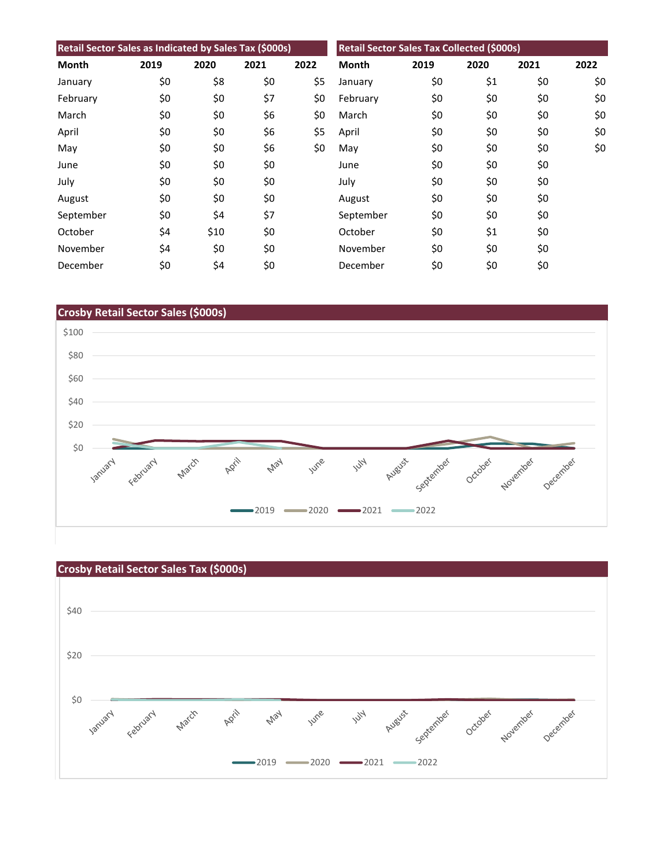| Retail Sector Sales as Indicated by Sales Tax (\$000s) |      |      |      |      | Retail Sector Sales Tax Collected (\$000s) |      |      |      |      |
|--------------------------------------------------------|------|------|------|------|--------------------------------------------|------|------|------|------|
| Month                                                  | 2019 | 2020 | 2021 | 2022 | <b>Month</b>                               | 2019 | 2020 | 2021 | 2022 |
| January                                                | \$0  | \$8  | \$0  | \$5  | January                                    | \$0  | \$1  | \$0  | \$0  |
| February                                               | \$0  | \$0  | \$7  | \$0  | February                                   | \$0  | \$0  | \$0  | \$0  |
| March                                                  | \$0  | \$0  | \$6  | \$0  | March                                      | \$0  | \$0  | \$0  | \$0  |
| April                                                  | \$0  | \$0  | \$6  | \$5  | April                                      | \$0  | \$0  | \$0  | \$0  |
| May                                                    | \$0  | \$0  | \$6  | \$0  | May                                        | \$0  | \$0  | \$0  | \$0  |
| June                                                   | \$0  | \$0  | \$0  |      | June                                       | \$0  | \$0  | \$0  |      |
| July                                                   | \$0  | \$0  | \$0  |      | July                                       | \$0  | \$0  | \$0  |      |
| August                                                 | \$0  | \$0  | \$0  |      | August                                     | \$0  | \$0  | \$0  |      |
| September                                              | \$0  | \$4  | \$7  |      | September                                  | \$0  | \$0  | \$0  |      |
| October                                                | \$4  | \$10 | \$0  |      | October                                    | \$0  | \$1  | \$0  |      |
| November                                               | \$4  | \$0  | \$0  |      | November                                   | \$0  | \$0  | \$0  |      |
| December                                               | \$0  | \$4  | \$0  |      | December                                   | \$0  | \$0  | \$0  |      |



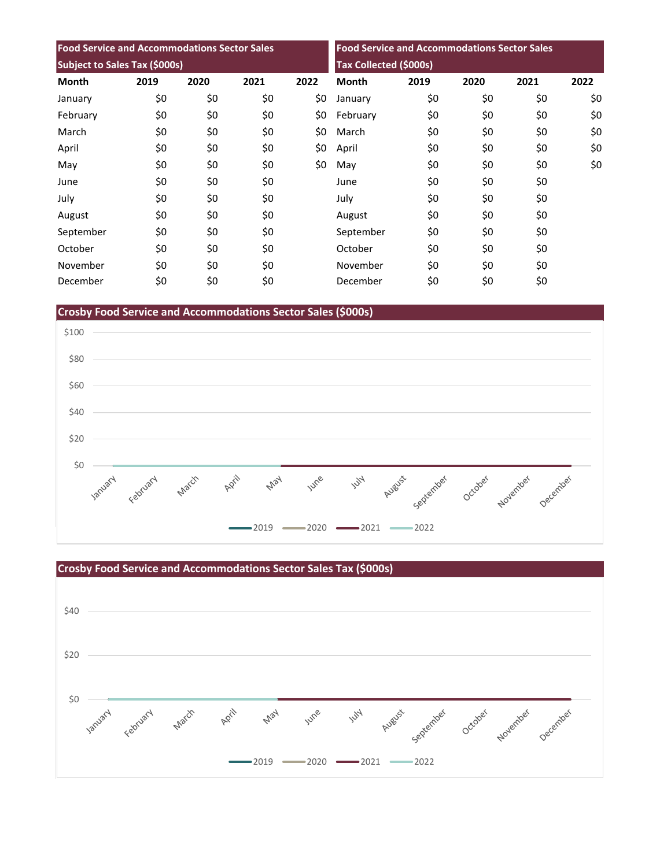| <b>Food Service and Accommodations Sector Sales</b><br>Subject to Sales Tax (\$000s) |     |     |     |     | <b>Food Service and Accommodations Sector Sales</b><br>Tax Collected (\$000s) |     |     |     |     |
|--------------------------------------------------------------------------------------|-----|-----|-----|-----|-------------------------------------------------------------------------------|-----|-----|-----|-----|
|                                                                                      |     |     |     |     |                                                                               |     |     |     |     |
| January                                                                              | \$0 | \$0 | \$0 | \$0 | January                                                                       | \$0 | \$0 | \$0 | \$0 |
| February                                                                             | \$0 | \$0 | \$0 | \$0 | February                                                                      | \$0 | \$0 | \$0 | \$0 |
| March                                                                                | \$0 | \$0 | \$0 | \$0 | March                                                                         | \$0 | \$0 | \$0 | \$0 |
| April                                                                                | \$0 | \$0 | \$0 | \$0 | April                                                                         | \$0 | \$0 | \$0 | \$0 |
| May                                                                                  | \$0 | \$0 | \$0 | \$0 | May                                                                           | \$0 | \$0 | \$0 | \$0 |
| June                                                                                 | \$0 | \$0 | \$0 |     | June                                                                          | \$0 | \$0 | \$0 |     |
| July                                                                                 | \$0 | \$0 | \$0 |     | July                                                                          | \$0 | \$0 | \$0 |     |
| August                                                                               | \$0 | \$0 | \$0 |     | August                                                                        | \$0 | \$0 | \$0 |     |
| September                                                                            | \$0 | \$0 | \$0 |     | September                                                                     | \$0 | \$0 | \$0 |     |
| October                                                                              | \$0 | \$0 | \$0 |     | October                                                                       | \$0 | \$0 | \$0 |     |
| November                                                                             | \$0 | \$0 | \$0 |     | November                                                                      | \$0 | \$0 | \$0 |     |
| December                                                                             | \$0 | \$0 | \$0 |     | December                                                                      | \$0 | \$0 | \$0 |     |

**Crosby Food Service and Accommodations Sector Sales (\$000s)**



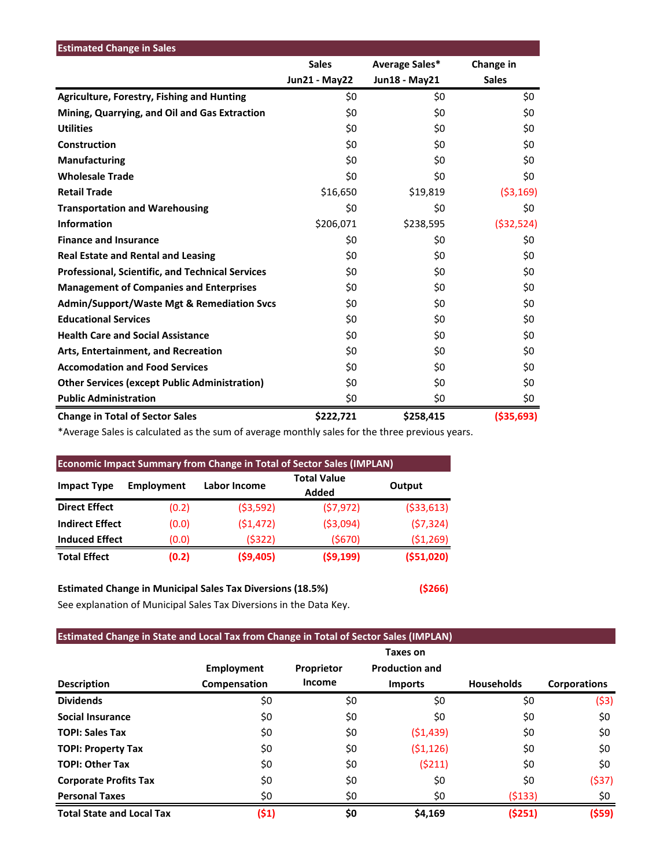| <b>Estimated Change in Sales</b>                        |                      |                |              |
|---------------------------------------------------------|----------------------|----------------|--------------|
|                                                         | <b>Sales</b>         | Average Sales* | Change in    |
|                                                         | <b>Jun21 - May22</b> | Jun18 - May21  | <b>Sales</b> |
| <b>Agriculture, Forestry, Fishing and Hunting</b>       | \$0                  | \$0            | \$0          |
| Mining, Quarrying, and Oil and Gas Extraction           | \$0                  | \$0            | \$0          |
| <b>Utilities</b>                                        | \$0                  | \$0            | \$0          |
| Construction                                            | \$0                  | \$0            | \$0          |
| <b>Manufacturing</b>                                    | \$0                  | \$0            | \$0          |
| <b>Wholesale Trade</b>                                  | \$0                  | \$0            | \$0          |
| <b>Retail Trade</b>                                     | \$16,650             | \$19,819       | ( \$3,169)   |
| <b>Transportation and Warehousing</b>                   | \$0                  | \$0            | \$0          |
| <b>Information</b>                                      | \$206,071            | \$238,595      | ( \$32, 524) |
| <b>Finance and Insurance</b>                            | \$0                  | \$0            | \$0          |
| <b>Real Estate and Rental and Leasing</b>               | \$0                  | \$0            | \$0          |
| <b>Professional, Scientific, and Technical Services</b> | \$0                  | \$0            | \$0          |
| <b>Management of Companies and Enterprises</b>          | \$0                  | \$0            | \$0          |
| <b>Admin/Support/Waste Mgt &amp; Remediation Svcs</b>   | \$0                  | \$0            | \$0          |
| <b>Educational Services</b>                             | \$0                  | \$0            | \$0          |
| <b>Health Care and Social Assistance</b>                | \$0                  | \$0            | \$0          |
| Arts, Entertainment, and Recreation                     | \$0                  | \$0            | \$0          |
| <b>Accomodation and Food Services</b>                   | \$0                  | \$0            | \$0          |
| <b>Other Services (except Public Administration)</b>    | \$0                  | \$0            | \$0          |
| <b>Public Administration</b>                            | \$0                  | \$0            | \$0          |
| <b>Change in Total of Sector Sales</b>                  | \$222,721            | \$258,415      | ( \$35,693)  |

\*Average Sales is calculated as the sum of average monthly sales for the three previous years.

| <b>Economic Impact Summary from Change in Total of Sector Sales (IMPLAN)</b> |                   |              |                             |              |  |  |  |  |
|------------------------------------------------------------------------------|-------------------|--------------|-----------------------------|--------------|--|--|--|--|
| <b>Impact Type</b>                                                           | <b>Employment</b> | Labor Income | <b>Total Value</b><br>Added | Output       |  |  |  |  |
| <b>Direct Effect</b>                                                         | (0.2)             | (53, 592)    | (57, 972)                   | ( \$33, 613) |  |  |  |  |
| <b>Indirect Effect</b>                                                       | (0.0)             | (51, 472)    | ( \$3,094)                  | (57, 324)    |  |  |  |  |
| <b>Induced Effect</b>                                                        | (0.0)             | (5322)       | (5670)                      | ( \$1,269)   |  |  |  |  |
| <b>Total Effect</b>                                                          | (0.2)             | ( \$9,405)   | (59, 199)                   | (551,020)    |  |  |  |  |

## **Estimated Change in Municipal Sales Tax Diversions (18.5%) (\$266)**

See explanation of Municipal Sales Tax Diversions in the Data Key.

### **Estimated Change in State and Local Tax from Change in Total of Sector Sales (IMPLAN)**

|                                  |                   |            | Taxes on              |                   |                     |
|----------------------------------|-------------------|------------|-----------------------|-------------------|---------------------|
|                                  | <b>Employment</b> | Proprietor | <b>Production and</b> |                   |                     |
| <b>Description</b>               | Compensation      | Income     | <b>Imports</b>        | <b>Households</b> | <b>Corporations</b> |
| <b>Dividends</b>                 | \$0               | \$0        | \$0                   | \$0               | (53)                |
| <b>Social Insurance</b>          | \$0               | \$0        | \$0                   | \$0               | \$0                 |
| <b>TOPI: Sales Tax</b>           | \$0               | \$0        | (51, 439)             | \$0               | \$0                 |
| <b>TOPI: Property Tax</b>        | \$0               | \$0        | (51, 126)             | \$0               | \$0                 |
| <b>TOPI: Other Tax</b>           | \$0               | \$0        | (5211)                | \$0               | \$0                 |
| <b>Corporate Profits Tax</b>     | \$0               | \$0        | \$0                   | \$0               | (\$37)              |
| <b>Personal Taxes</b>            | \$0               | \$0        | \$0                   | (5133)            | \$0                 |
| <b>Total State and Local Tax</b> | (51)              | \$0        | \$4,169               | (5251)            | (\$59)              |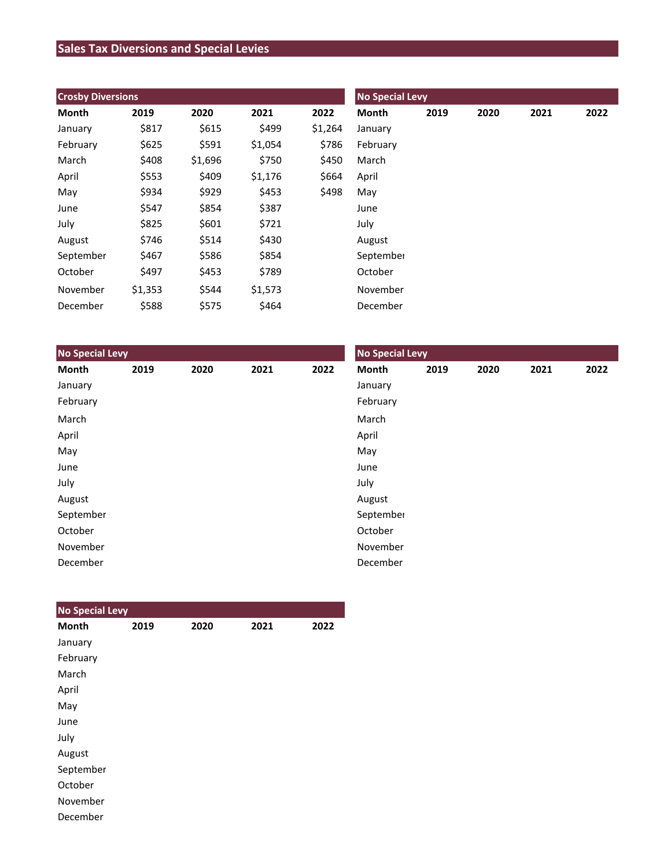## **Sales Tax Diversions and Special Levies**

| <b>Crosby Diversions</b> |         |         |         |         | <b>No Special Levy</b> |      |      |      |      |  |
|--------------------------|---------|---------|---------|---------|------------------------|------|------|------|------|--|
| Month                    | 2019    | 2020    | 2021    | 2022    | Month                  | 2019 | 2020 | 2021 | 2022 |  |
| January                  | \$817   | \$615   | \$499   | \$1,264 | January                |      |      |      |      |  |
| February                 | \$625   | \$591   | \$1,054 | \$786   | February               |      |      |      |      |  |
| March                    | \$408   | \$1,696 | \$750   | \$450   | March                  |      |      |      |      |  |
| April                    | \$553   | \$409   | \$1,176 | \$664   | April                  |      |      |      |      |  |
| May                      | \$934   | \$929   | \$453   | \$498   | May                    |      |      |      |      |  |
| June                     | \$547   | \$854   | \$387   |         | June                   |      |      |      |      |  |
| July                     | \$825   | \$601   | \$721   |         | July                   |      |      |      |      |  |
| August                   | \$746   | \$514   | \$430   |         | August                 |      |      |      |      |  |
| September                | \$467   | \$586   | \$854   |         | September              |      |      |      |      |  |
| October                  | \$497   | \$453   | \$789   |         | October                |      |      |      |      |  |
| November                 | \$1,353 | \$544   | \$1,573 |         | November               |      |      |      |      |  |
| December                 | \$588   | \$575   | \$464   |         | December               |      |      |      |      |  |

| <b>No Special Levy</b> |      |      |      |      | <b>No Special Levy</b> |      |      |      |      |  |
|------------------------|------|------|------|------|------------------------|------|------|------|------|--|
| Month                  | 2019 | 2020 | 2021 | 2022 | Month                  | 2019 | 2020 | 2021 | 2022 |  |
| January                |      |      |      |      | January                |      |      |      |      |  |
| February               |      |      |      |      | February               |      |      |      |      |  |
| March                  |      |      |      |      | March                  |      |      |      |      |  |
| April                  |      |      |      |      | April                  |      |      |      |      |  |
| May                    |      |      |      |      | May                    |      |      |      |      |  |
| June                   |      |      |      |      | June                   |      |      |      |      |  |
| July                   |      |      |      |      | July                   |      |      |      |      |  |
| August                 |      |      |      |      | August                 |      |      |      |      |  |
| September              |      |      |      |      | September              |      |      |      |      |  |
| October                |      |      |      |      | October                |      |      |      |      |  |
| November               |      |      |      |      | November               |      |      |      |      |  |
| December               |      |      |      |      | December               |      |      |      |      |  |

| <b>No Special Levy</b> |      |      |      |      |
|------------------------|------|------|------|------|
| <b>Month</b>           | 2019 | 2020 | 2021 | 2022 |
| January                |      |      |      |      |
| February               |      |      |      |      |
| March                  |      |      |      |      |
| April                  |      |      |      |      |
| May                    |      |      |      |      |
| June                   |      |      |      |      |
| July                   |      |      |      |      |
| August                 |      |      |      |      |
| September              |      |      |      |      |
| October                |      |      |      |      |
| November               |      |      |      |      |
| December               |      |      |      |      |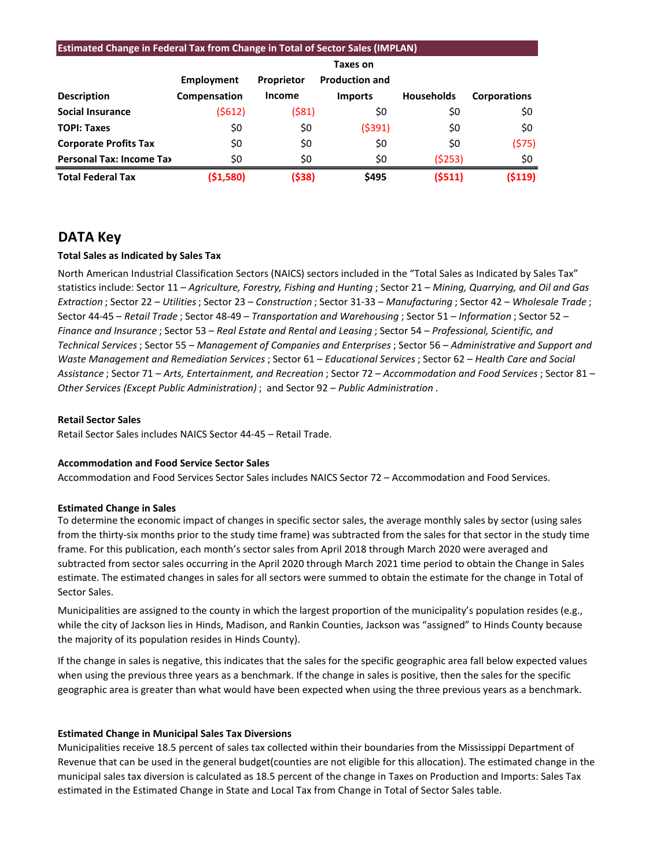| <b>Estimated Change in Federal Tax from Change in Total of Sector Sales (IMPLAN)</b> |              |                   |                       |                   |                     |  |  |  |  |
|--------------------------------------------------------------------------------------|--------------|-------------------|-----------------------|-------------------|---------------------|--|--|--|--|
|                                                                                      | Taxes on     |                   |                       |                   |                     |  |  |  |  |
|                                                                                      | Employment   | <b>Proprietor</b> | <b>Production and</b> |                   |                     |  |  |  |  |
| <b>Description</b>                                                                   | Compensation | Income            | <b>Imports</b>        | <b>Households</b> | <b>Corporations</b> |  |  |  |  |
| <b>Social Insurance</b>                                                              | (\$612)      | (\$81)            | \$0                   | \$0               | \$0                 |  |  |  |  |
| <b>TOPI: Taxes</b>                                                                   | \$0          | \$0               | (5391)                | \$0               | \$0                 |  |  |  |  |
| <b>Corporate Profits Tax</b>                                                         | \$0          | \$0               | \$0                   | \$0               | (575)               |  |  |  |  |
| <b>Personal Tax: Income Tax</b>                                                      | \$0          | \$0               | \$0                   | (5253)            | \$0                 |  |  |  |  |
| <b>Total Federal Tax</b>                                                             | ( \$1,580)   | (\$38)            | \$495                 | (5511)            | (5119)              |  |  |  |  |

## **DATA Key**

#### **Total Sales as Indicated by Sales Tax**

North American Industrial Classification Sectors (NAICS) sectors included in the "Total Sales as Indicated by Sales Tax" statistics include: Sector 11 – *Agriculture, Forestry, Fishing and Hunting* ; Sector 21 – *Mining, Quarrying, and Oil and Gas Extraction* ; Sector 22 – *Utilities*; Sector 23 – *Construction* ; Sector 31-33 – *Manufacturing* ; Sector 42 – *Wholesale Trade* ; Sector 44-45 – *Retail Trade* ; Sector 48-49 – *Transportation and Warehousing* ; Sector 51 – *Information* ; Sector 52 – *Finance and Insurance* ; Sector 53 – *Real Estate and Rental and Leasing* ; Sector 54 – *Professional, Scientific, and Technical Services*; Sector 55 – *Management of Companies and Enterprises* ; Sector 56 – *Administrative and Support and Waste Management and Remediation Services* ; Sector 61 – *Educational Services*; Sector 62 – *Health Care and Social Assistance* ; Sector 71 – *Arts, Entertainment, and Recreation* ; Sector 72 – *Accommodation and Food Services* ; Sector 81 – *Other Services (Except Public Administration)* ; and Sector 92 – *Public Administration* .

#### **Retail Sector Sales**

Retail Sector Sales includes NAICS Sector 44-45 – Retail Trade.

#### **Accommodation and Food Service Sector Sales**

Accommodation and Food Services Sector Sales includes NAICS Sector 72 – Accommodation and Food Services.

#### **Estimated Change in Sales**

To determine the economic impact of changes in specific sector sales, the average monthly sales by sector (using sales from the thirty-six months prior to the study time frame) was subtracted from the sales for that sector in the study time frame. For this publication, each month's sector sales from April 2018 through March 2020 were averaged and subtracted from sector sales occurring in the April 2020 through March 2021 time period to obtain the Change in Sales estimate. The estimated changes in sales for all sectors were summed to obtain the estimate for the change in Total of Sector Sales.

Municipalities are assigned to the county in which the largest proportion of the municipality's population resides (e.g., while the city of Jackson lies in Hinds, Madison, and Rankin Counties, Jackson was "assigned" to Hinds County because the majority of its population resides in Hinds County).

If the change in sales is negative, this indicates that the sales for the specific geographic area fall below expected values when using the previous three years as a benchmark. If the change in sales is positive, then the sales for the specific geographic area is greater than what would have been expected when using the three previous years as a benchmark.

#### **Estimated Change in Municipal Sales Tax Diversions**

Municipalities receive 18.5 percent of sales tax collected within their boundaries from the Mississippi Department of Revenue that can be used in the general budget(counties are not eligible for this allocation). The estimated change in the municipal sales tax diversion is calculated as 18.5 percent of the change in Taxes on Production and Imports: Sales Tax estimated in the Estimated Change in State and Local Tax from Change in Total of Sector Sales table.